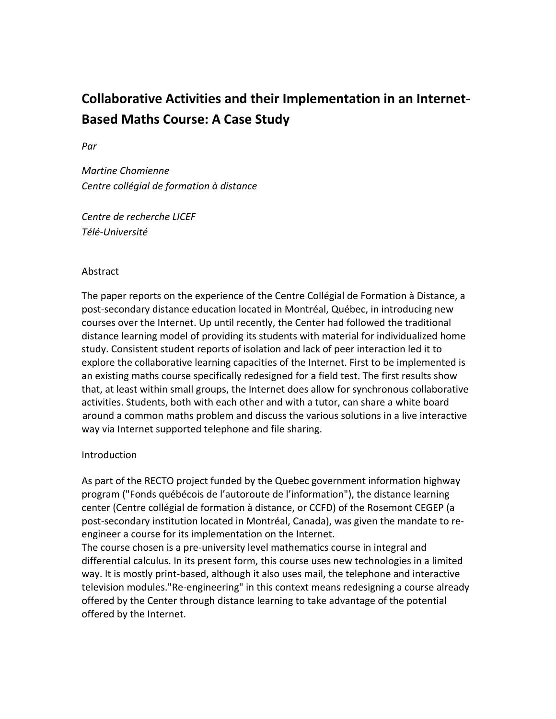# **Collaborative Activities and their Implementation in an Internet‐ Based Maths Course: A Case Study**

*Par*

*Martine Chomienne Centre collégial de formation à distance*

*Centre de recherche LICEF Télé‐Université*

# **Abstract**

The paper reports on the experience of the Centre Collégial de Formation à Distance, a post‐secondary distance education located in Montréal, Québec, in introducing new courses over the Internet. Up until recently, the Center had followed the traditional distance learning model of providing its students with material for individualized home study. Consistent student reports of isolation and lack of peer interaction led it to explore the collaborative learning capacities of the Internet. First to be implemented is an existing maths course specifically redesigned for a field test. The first results show that, at least within small groups, the Internet does allow for synchronous collaborative activities. Students, both with each other and with a tutor, can share a white board around a common maths problem and discuss the various solutions in a live interactive way via Internet supported telephone and file sharing.

# Introduction

As part of the RECTO project funded by the Quebec government information highway program ("Fonds québécois de l'autoroute de l'information"), the distance learning center (Centre collégial de formation à distance, or CCFD) of the Rosemont CEGEP (a post‐secondary institution located in Montréal, Canada), was given the mandate to re‐ engineer a course for its implementation on the Internet.

The course chosen is a pre‐university level mathematics course in integral and differential calculus. In its present form, this course uses new technologies in a limited way. It is mostly print-based, although it also uses mail, the telephone and interactive television modules."Re‐engineering" in this context means redesigning a course already offered by the Center through distance learning to take advantage of the potential offered by the Internet.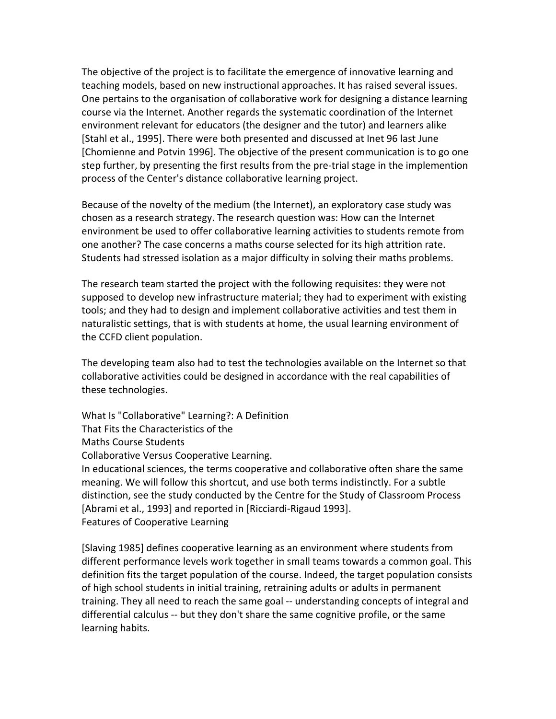The objective of the project is to facilitate the emergence of innovative learning and teaching models, based on new instructional approaches. It has raised several issues. One pertains to the organisation of collaborative work for designing a distance learning course via the Internet. Another regards the systematic coordination of the Internet environment relevant for educators (the designer and the tutor) and learners alike [Stahl et al., 1995]. There were both presented and discussed at Inet 96 last June [Chomienne and Potvin 1996]. The objective of the present communication is to go one step further, by presenting the first results from the pre-trial stage in the implemention process of the Center's distance collaborative learning project.

Because of the novelty of the medium (the Internet), an exploratory case study was chosen as a research strategy. The research question was: How can the Internet environment be used to offer collaborative learning activities to students remote from one another? The case concerns a maths course selected for its high attrition rate. Students had stressed isolation as a major difficulty in solving their maths problems.

The research team started the project with the following requisites: they were not supposed to develop new infrastructure material; they had to experiment with existing tools; and they had to design and implement collaborative activities and test them in naturalistic settings, that is with students at home, the usual learning environment of the CCFD client population.

The developing team also had to test the technologies available on the Internet so that collaborative activities could be designed in accordance with the real capabilities of these technologies.

What Is "Collaborative" Learning?: A Definition That Fits the Characteristics of the Maths Course Students Collaborative Versus Cooperative Learning. In educational sciences, the terms cooperative and collaborative often share the same meaning. We will follow this shortcut, and use both terms indistinctly. For a subtle distinction, see the study conducted by the Centre for the Study of Classroom Process [Abrami et al., 1993] and reported in [Ricciardi‐Rigaud 1993]. Features of Cooperative Learning

[Slaving 1985] defines cooperative learning as an environment where students from different performance levels work together in small teams towards a common goal. This definition fits the target population of the course. Indeed, the target population consists of high school students in initial training, retraining adults or adults in permanent training. They all need to reach the same goal ‐‐ understanding concepts of integral and differential calculus ‐‐ but they don't share the same cognitive profile, or the same learning habits.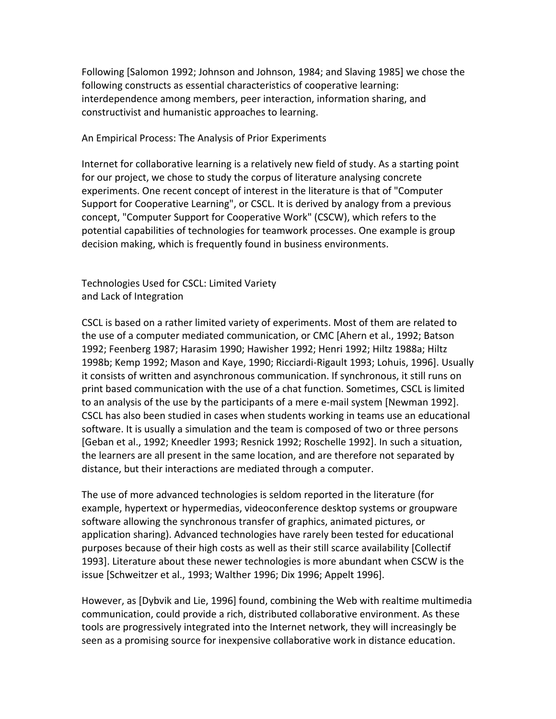Following [Salomon 1992; Johnson and Johnson, 1984; and Slaving 1985] we chose the following constructs as essential characteristics of cooperative learning: interdependence among members, peer interaction, information sharing, and constructivist and humanistic approaches to learning.

An Empirical Process: The Analysis of Prior Experiments

Internet for collaborative learning is a relatively new field of study. As a starting point for our project, we chose to study the corpus of literature analysing concrete experiments. One recent concept of interest in the literature is that of "Computer Support for Cooperative Learning", or CSCL. It is derived by analogy from a previous concept, "Computer Support for Cooperative Work" (CSCW), which refers to the potential capabilities of technologies for teamwork processes. One example is group decision making, which is frequently found in business environments.

Technologies Used for CSCL: Limited Variety and Lack of Integration

CSCL is based on a rather limited variety of experiments. Most of them are related to the use of a computer mediated communication, or CMC [Ahern et al., 1992; Batson 1992; Feenberg 1987; Harasim 1990; Hawisher 1992; Henri 1992; Hiltz 1988a; Hiltz 1998b; Kemp 1992; Mason and Kaye, 1990; Ricciardi‐Rigault 1993; Lohuis, 1996]. Usually it consists of written and asynchronous communication. If synchronous, it still runs on print based communication with the use of a chat function. Sometimes, CSCL is limited to an analysis of the use by the participants of a mere e‐mail system [Newman 1992]. CSCL has also been studied in cases when students working in teams use an educational software. It is usually a simulation and the team is composed of two or three persons [Geban et al., 1992; Kneedler 1993; Resnick 1992; Roschelle 1992]. In such a situation, the learners are all present in the same location, and are therefore not separated by distance, but their interactions are mediated through a computer.

The use of more advanced technologies is seldom reported in the literature (for example, hypertext or hypermedias, videoconference desktop systems or groupware software allowing the synchronous transfer of graphics, animated pictures, or application sharing). Advanced technologies have rarely been tested for educational purposes because of their high costs as well as their still scarce availability [Collectif 1993]. Literature about these newer technologies is more abundant when CSCW is the issue [Schweitzer et al., 1993; Walther 1996; Dix 1996; Appelt 1996].

However, as [Dybvik and Lie, 1996] found, combining the Web with realtime multimedia communication, could provide a rich, distributed collaborative environment. As these tools are progressively integrated into the Internet network, they will increasingly be seen as a promising source for inexpensive collaborative work in distance education.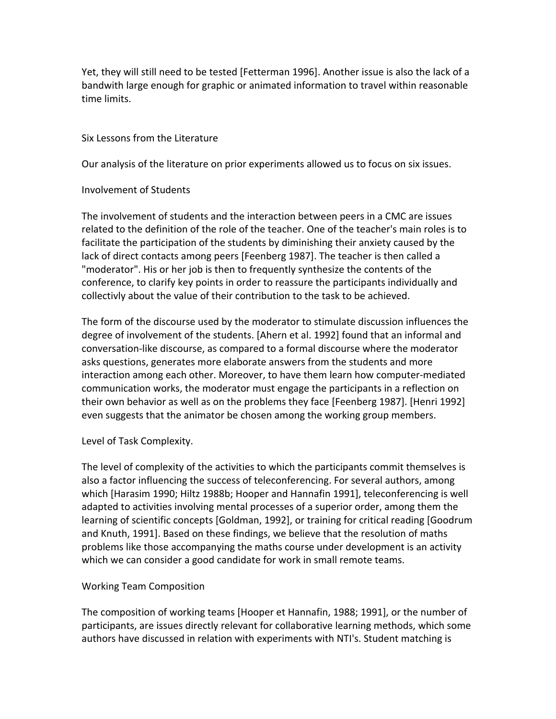Yet, they will still need to be tested [Fetterman 1996]. Another issue is also the lack of a bandwith large enough for graphic or animated information to travel within reasonable time limits.

# Six Lessons from the Literature

Our analysis of the literature on prior experiments allowed us to focus on six issues.

# Involvement of Students

The involvement of students and the interaction between peers in a CMC are issues related to the definition of the role of the teacher. One of the teacher's main roles is to facilitate the participation of the students by diminishing their anxiety caused by the lack of direct contacts among peers [Feenberg 1987]. The teacher is then called a "moderator". His or her job is then to frequently synthesize the contents of the conference, to clarify key points in order to reassure the participants individually and collectivly about the value of their contribution to the task to be achieved.

The form of the discourse used by the moderator to stimulate discussion influences the degree of involvement of the students. [Ahern et al. 1992] found that an informal and conversation‐like discourse, as compared to a formal discourse where the moderator asks questions, generates more elaborate answers from the students and more interaction among each other. Moreover, to have them learn how computer‐mediated communication works, the moderator must engage the participants in a reflection on their own behavior as well as on the problems they face [Feenberg 1987]. [Henri 1992] even suggests that the animator be chosen among the working group members.

# Level of Task Complexity.

The level of complexity of the activities to which the participants commit themselves is also a factor influencing the success of teleconferencing. For several authors, among which [Harasim 1990; Hiltz 1988b; Hooper and Hannafin 1991], teleconferencing is well adapted to activities involving mental processes of a superior order, among them the learning of scientific concepts [Goldman, 1992], or training for critical reading [Goodrum and Knuth, 1991]. Based on these findings, we believe that the resolution of maths problems like those accompanying the maths course under development is an activity which we can consider a good candidate for work in small remote teams.

# Working Team Composition

The composition of working teams [Hooper et Hannafin, 1988; 1991], or the number of participants, are issues directly relevant for collaborative learning methods, which some authors have discussed in relation with experiments with NTI's. Student matching is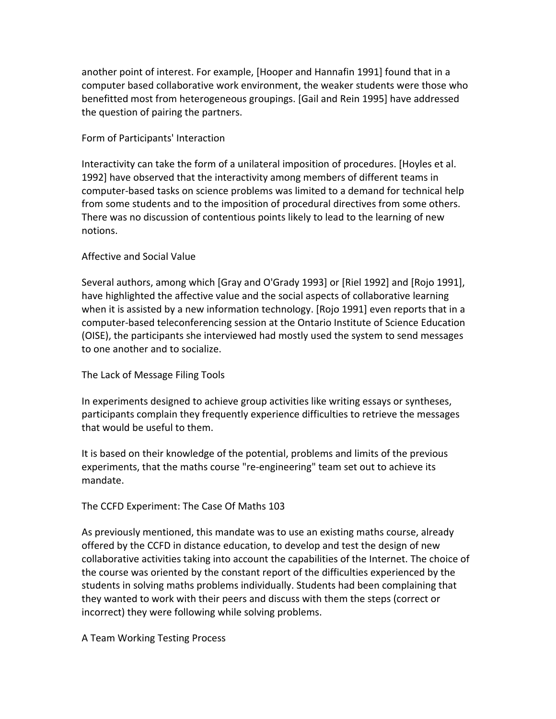another point of interest. For example, [Hooper and Hannafin 1991] found that in a computer based collaborative work environment, the weaker students were those who benefitted most from heterogeneous groupings. [Gail and Rein 1995] have addressed the question of pairing the partners.

## Form of Participants' Interaction

Interactivity can take the form of a unilateral imposition of procedures. [Hoyles et al. 1992] have observed that the interactivity among members of different teams in computer‐based tasks on science problems was limited to a demand for technical help from some students and to the imposition of procedural directives from some others. There was no discussion of contentious points likely to lead to the learning of new notions.

## Affective and Social Value

Several authors, among which [Gray and O'Grady 1993] or [Riel 1992] and [Rojo 1991], have highlighted the affective value and the social aspects of collaborative learning when it is assisted by a new information technology. [Rojo 1991] even reports that in a computer‐based teleconferencing session at the Ontario Institute of Science Education (OISE), the participants she interviewed had mostly used the system to send messages to one another and to socialize.

# The Lack of Message Filing Tools

In experiments designed to achieve group activities like writing essays or syntheses, participants complain they frequently experience difficulties to retrieve the messages that would be useful to them.

It is based on their knowledge of the potential, problems and limits of the previous experiments, that the maths course "re‐engineering" team set out to achieve its mandate.

# The CCFD Experiment: The Case Of Maths 103

As previously mentioned, this mandate was to use an existing maths course, already offered by the CCFD in distance education, to develop and test the design of new collaborative activities taking into account the capabilities of the Internet. The choice of the course was oriented by the constant report of the difficulties experienced by the students in solving maths problems individually. Students had been complaining that they wanted to work with their peers and discuss with them the steps (correct or incorrect) they were following while solving problems.

#### A Team Working Testing Process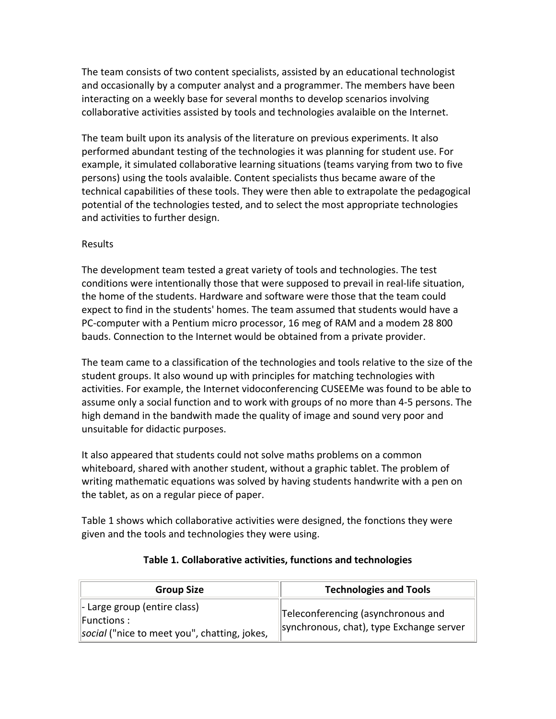The team consists of two content specialists, assisted by an educational technologist and occasionally by a computer analyst and a programmer. The members have been interacting on a weekly base for several months to develop scenarios involving collaborative activities assisted by tools and technologies avalaible on the Internet.

The team built upon its analysis of the literature on previous experiments. It also performed abundant testing of the technologies it was planning for student use. For example, it simulated collaborative learning situations (teams varying from two to five persons) using the tools avalaible. Content specialists thus became aware of the technical capabilities of these tools. They were then able to extrapolate the pedagogical potential of the technologies tested, and to select the most appropriate technologies and activities to further design.

## Results

The development team tested a great variety of tools and technologies. The test conditions were intentionally those that were supposed to prevail in real‐life situation, the home of the students. Hardware and software were those that the team could expect to find in the students' homes. The team assumed that students would have a PC‐computer with a Pentium micro processor, 16 meg of RAM and a modem 28 800 bauds. Connection to the Internet would be obtained from a private provider.

The team came to a classification of the technologies and tools relative to the size of the student groups. It also wound up with principles for matching technologies with activities. For example, the Internet vidoconferencing CUSEEMe was found to be able to assume only a social function and to work with groups of no more than 4‐5 persons. The high demand in the bandwith made the quality of image and sound very poor and unsuitable for didactic purposes.

It also appeared that students could not solve maths problems on a common whiteboard, shared with another student, without a graphic tablet. The problem of writing mathematic equations was solved by having students handwrite with a pen on the tablet, as on a regular piece of paper.

Table 1 shows which collaborative activities were designed, the fonctions they were given and the tools and technologies they were using.

| <b>Group Size</b>                                                                                                   | <b>Technologies and Tools</b>                                                  |
|---------------------------------------------------------------------------------------------------------------------|--------------------------------------------------------------------------------|
| $\parallel$ - Large group (entire class)<br>$\parallel$ Functions :<br>social ("nice to meet you", chatting, jokes, | Teleconferencing (asynchronous and<br>synchronous, chat), type Exchange server |

# **Table 1. Collaborative activities, functions and technologies**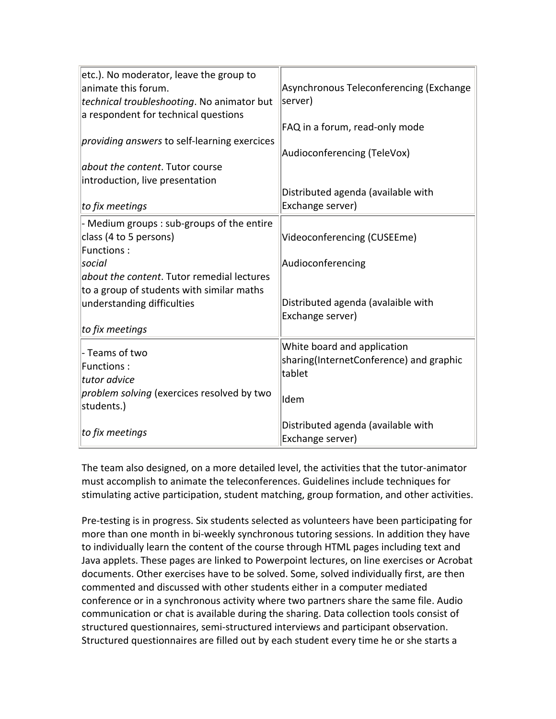| etc.). No moderator, leave the group to<br>animate this forum.<br>technical troubleshooting. No animator but<br>a respondent for technical questions | Asynchronous Teleconferencing (Exchange<br>server) |
|------------------------------------------------------------------------------------------------------------------------------------------------------|----------------------------------------------------|
|                                                                                                                                                      | FAQ in a forum, read-only mode                     |
| <i>providing answers</i> to self-learning exercices                                                                                                  | Audioconferencing (TeleVox)                        |
| <i>about the content</i> . Tutor course                                                                                                              |                                                    |
| introduction, live presentation                                                                                                                      |                                                    |
|                                                                                                                                                      | Distributed agenda (available with                 |
| to fix meetings                                                                                                                                      | Exchange server)                                   |
| - Medium groups : sub-groups of the entire                                                                                                           |                                                    |
| class (4 to 5 persons)                                                                                                                               | Videoconferencing (CUSEEme)                        |
| <b>Functions:</b>                                                                                                                                    |                                                    |
| social                                                                                                                                               | Audioconferencing                                  |
| about the content. Tutor remedial lectures                                                                                                           |                                                    |
| to a group of students with similar maths                                                                                                            |                                                    |
| understanding difficulties                                                                                                                           | Distributed agenda (avalaible with                 |
| to fix meetings                                                                                                                                      | Exchange server)                                   |
|                                                                                                                                                      |                                                    |
| - Teams of two                                                                                                                                       | White board and application                        |
| <b>Functions:</b>                                                                                                                                    | sharing(InternetConference) and graphic            |
| tutor advice                                                                                                                                         | tablet                                             |
| problem solving (exercices resolved by two<br>students.)                                                                                             | ldem                                               |
| to fix meetings                                                                                                                                      | Distributed agenda (available with                 |
|                                                                                                                                                      | Exchange server)                                   |

The team also designed, on a more detailed level, the activities that the tutor‐animator must accomplish to animate the teleconferences. Guidelines include techniques for stimulating active participation, student matching, group formation, and other activities.

Pre-testing is in progress. Six students selected as volunteers have been participating for more than one month in bi-weekly synchronous tutoring sessions. In addition they have to individually learn the content of the course through HTML pages including text and Java applets. These pages are linked to Powerpoint lectures, on line exercises or Acrobat documents. Other exercises have to be solved. Some, solved individually first, are then commented and discussed with other students either in a computer mediated conference or in a synchronous activity where two partners share the same file. Audio communication or chat is available during the sharing. Data collection tools consist of structured questionnaires, semi‐structured interviews and participant observation. Structured questionnaires are filled out by each student every time he or she starts a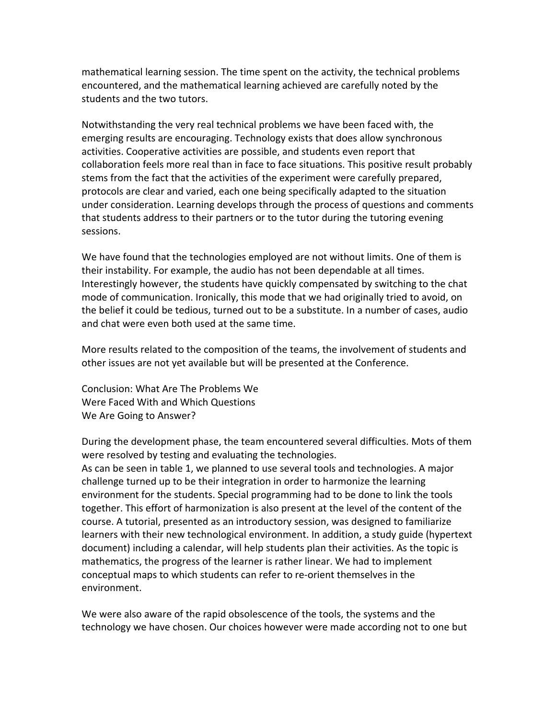mathematical learning session. The time spent on the activity, the technical problems encountered, and the mathematical learning achieved are carefully noted by the students and the two tutors.

Notwithstanding the very real technical problems we have been faced with, the emerging results are encouraging. Technology exists that does allow synchronous activities. Cooperative activities are possible, and students even report that collaboration feels more real than in face to face situations. This positive result probably stems from the fact that the activities of the experiment were carefully prepared, protocols are clear and varied, each one being specifically adapted to the situation under consideration. Learning develops through the process of questions and comments that students address to their partners or to the tutor during the tutoring evening sessions.

We have found that the technologies employed are not without limits. One of them is their instability. For example, the audio has not been dependable at all times. Interestingly however, the students have quickly compensated by switching to the chat mode of communication. Ironically, this mode that we had originally tried to avoid, on the belief it could be tedious, turned out to be a substitute. In a number of cases, audio and chat were even both used at the same time.

More results related to the composition of the teams, the involvement of students and other issues are not yet available but will be presented at the Conference.

Conclusion: What Are The Problems We Were Faced With and Which Questions We Are Going to Answer?

During the development phase, the team encountered several difficulties. Mots of them were resolved by testing and evaluating the technologies.

As can be seen in table 1, we planned to use several tools and technologies. A major challenge turned up to be their integration in order to harmonize the learning environment for the students. Special programming had to be done to link the tools together. This effort of harmonization is also present at the level of the content of the course. A tutorial, presented as an introductory session, was designed to familiarize learners with their new technological environment. In addition, a study guide (hypertext document) including a calendar, will help students plan their activities. As the topic is mathematics, the progress of the learner is rather linear. We had to implement conceptual maps to which students can refer to re‐orient themselves in the environment.

We were also aware of the rapid obsolescence of the tools, the systems and the technology we have chosen. Our choices however were made according not to one but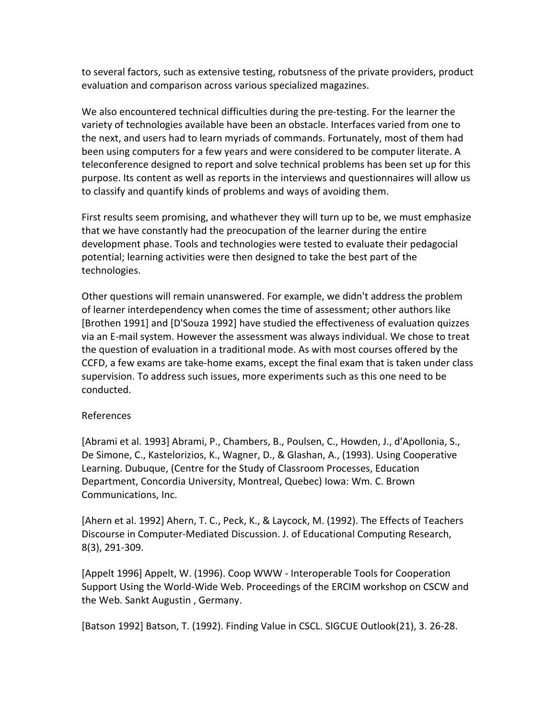to several factors, such as extensive testing, robutsness of the private providers, product evaluation and comparison across various specialized magazines.

We also encountered technical difficulties during the pre-testing. For the learner the variety of technologies available have been an obstacle. Interfaces varied from one to the next, and users had to learn myriads of commands. Fortunately, most of them had been using computers for a few years and were considered to be computer literate. A teleconference designed to report and solve technical problems has been set up for this purpose. Its content as well as reports in the interviews and questionnaires will allow us to classify and quantify kinds of problems and ways of avoiding them.

First results seem promising, and whathever they will turn up to be, we must emphasize that we have constantly had the preocupation of the learner during the entire development phase. Tools and technologies were tested to evaluate their pedagocial potential; learning activities were then designed to take the best part of the technologies.

Other questions will remain unanswered. For example, we didn't address the problem of learner interdependency when comes the time of assessment; other authors like [Brothen 1991] and [D'Souza 1992] have studied the effectiveness of evaluation quizzes via an E‐mail system. However the assessment was always individual. We chose to treat the question of evaluation in a traditional mode. As with most courses offered by the CCFD, a few exams are take‐home exams, except the final exam that is taken under class supervision. To address such issues, more experiments such as this one need to be conducted.

#### References

[Abrami et al. 1993] Abrami, P., Chambers, B., Poulsen, C., Howden, J., d'Apollonia, S., De Simone, C., Kastelorizios, K., Wagner, D., & Glashan, A., (1993). Using Cooperative Learning. Dubuque, (Centre for the Study of Classroom Processes, Education Department, Concordia University, Montreal, Quebec) Iowa: Wm. C. Brown Communications, Inc.

[Ahern et al. 1992] Ahern, T. C., Peck, K., & Laycock, M. (1992). The Effects of Teachers Discourse in Computer‐Mediated Discussion. J. of Educational Computing Research, 8(3), 291‐309.

[Appelt 1996] Appelt, W. (1996). Coop WWW ‐ Interoperable Tools for Cooperation Support Using the World‐Wide Web. Proceedings of the ERCIM workshop on CSCW and the Web. Sankt Augustin , Germany.

[Batson 1992] Batson, T. (1992). Finding Value in CSCL. SIGCUE Outlook(21), 3. 26‐28.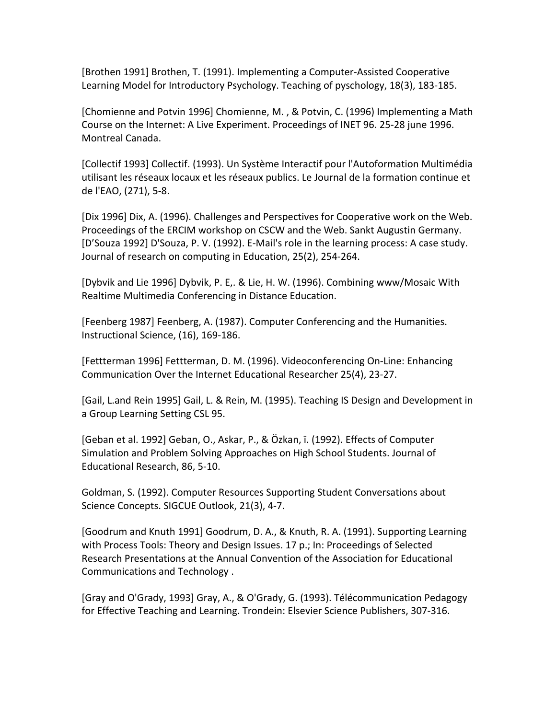[Brothen 1991] Brothen, T. (1991). Implementing a Computer‐Assisted Cooperative Learning Model for Introductory Psychology. Teaching of pyschology, 18(3), 183‐185.

[Chomienne and Potvin 1996] Chomienne, M. , & Potvin, C. (1996) Implementing a Math Course on the Internet: A Live Experiment. Proceedings of INET 96. 25‐28 june 1996. Montreal Canada.

[Collectif 1993] Collectif. (1993). Un Système Interactif pour l'Autoformation Multimédia utilisant les réseaux locaux et les réseaux publics. Le Journal de la formation continue et de l'EAO, (271), 5‐8.

[Dix 1996] Dix, A. (1996). Challenges and Perspectives for Cooperative work on the Web. Proceedings of the ERCIM workshop on CSCW and the Web. Sankt Augustin Germany. [D'Souza 1992] D'Souza, P. V. (1992). E‐Mail's role in the learning process: A case study. Journal of research on computing in Education, 25(2), 254‐264.

[Dybvik and Lie 1996] Dybvik, P. E,. & Lie, H. W. (1996). Combining www/Mosaic With Realtime Multimedia Conferencing in Distance Education.

[Feenberg 1987] Feenberg, A. (1987). Computer Conferencing and the Humanities. Instructional Science, (16), 169‐186.

[Fettterman 1996] Fettterman, D. M. (1996). Videoconferencing On‐Line: Enhancing Communication Over the Internet Educational Researcher 25(4), 23‐27.

[Gail, L.and Rein 1995] Gail, L. & Rein, M. (1995). Teaching IS Design and Development in a Group Learning Setting CSL 95.

[Geban et al. 1992] Geban, O., Askar, P., & Özkan, ï. (1992). Effects of Computer Simulation and Problem Solving Approaches on High School Students. Journal of Educational Research, 86, 5‐10.

Goldman, S. (1992). Computer Resources Supporting Student Conversations about Science Concepts. SIGCUE Outlook, 21(3), 4‐7.

[Goodrum and Knuth 1991] Goodrum, D. A., & Knuth, R. A. (1991). Supporting Learning with Process Tools: Theory and Design Issues. 17 p.; In: Proceedings of Selected Research Presentations at the Annual Convention of the Association for Educational Communications and Technology .

[Gray and O'Grady, 1993] Gray, A., & O'Grady, G. (1993). Télécommunication Pedagogy for Effective Teaching and Learning. Trondein: Elsevier Science Publishers, 307‐316.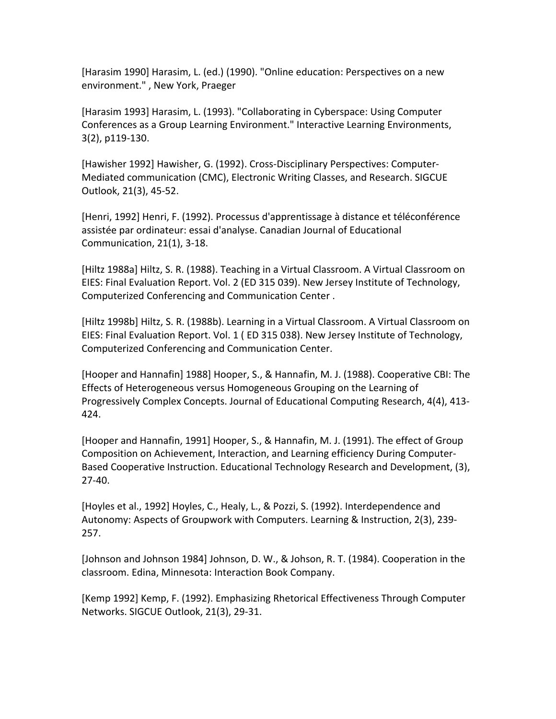[Harasim 1990] Harasim, L. (ed.) (1990). "Online education: Perspectives on a new environment." , New York, Praeger

[Harasim 1993] Harasim, L. (1993). "Collaborating in Cyberspace: Using Computer Conferences as a Group Learning Environment." Interactive Learning Environments, 3(2), p119‐130.

[Hawisher 1992] Hawisher, G. (1992). Cross‐Disciplinary Perspectives: Computer‐ Mediated communication (CMC), Electronic Writing Classes, and Research. SIGCUE Outlook, 21(3), 45‐52.

[Henri, 1992] Henri, F. (1992). Processus d'apprentissage à distance et téléconférence assistée par ordinateur: essai d'analyse. Canadian Journal of Educational Communication, 21(1), 3‐18.

[Hiltz 1988a] Hiltz, S. R. (1988). Teaching in a Virtual Classroom. A Virtual Classroom on EIES: Final Evaluation Report. Vol. 2 (ED 315 039). New Jersey Institute of Technology, Computerized Conferencing and Communication Center .

[Hiltz 1998b] Hiltz, S. R. (1988b). Learning in a Virtual Classroom. A Virtual Classroom on EIES: Final Evaluation Report. Vol. 1 ( ED 315 038). New Jersey Institute of Technology, Computerized Conferencing and Communication Center.

[Hooper and Hannafin] 1988] Hooper, S., & Hannafin, M. J. (1988). Cooperative CBI: The Effects of Heterogeneous versus Homogeneous Grouping on the Learning of Progressively Complex Concepts. Journal of Educational Computing Research, 4(4), 413‐ 424.

[Hooper and Hannafin, 1991] Hooper, S., & Hannafin, M. J. (1991). The effect of Group Composition on Achievement, Interaction, and Learning efficiency During Computer‐ Based Cooperative Instruction. Educational Technology Research and Development, (3), 27‐40.

[Hoyles et al., 1992] Hoyles, C., Healy, L., & Pozzi, S. (1992). Interdependence and Autonomy: Aspects of Groupwork with Computers. Learning & Instruction, 2(3), 239‐ 257.

[Johnson and Johnson 1984] Johnson, D. W., & Johson, R. T. (1984). Cooperation in the classroom. Edina, Minnesota: Interaction Book Company.

[Kemp 1992] Kemp, F. (1992). Emphasizing Rhetorical Effectiveness Through Computer Networks. SIGCUE Outlook, 21(3), 29‐31.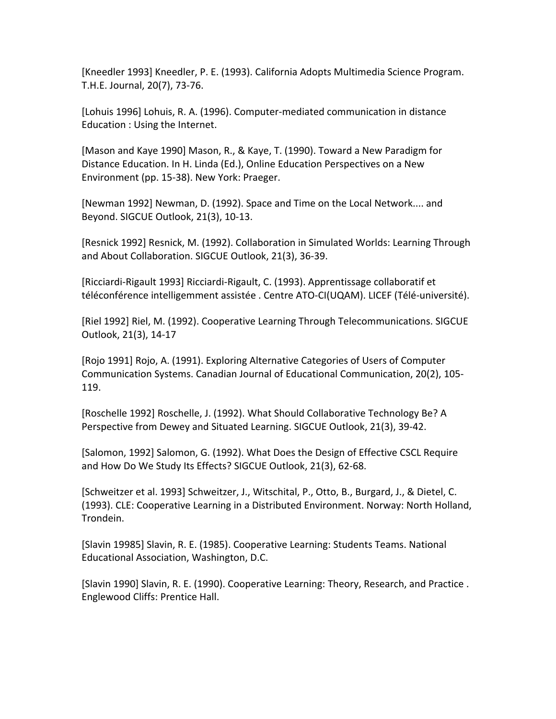[Kneedler 1993] Kneedler, P. E. (1993). California Adopts Multimedia Science Program. T.H.E. Journal, 20(7), 73‐76.

[Lohuis 1996] Lohuis, R. A. (1996). Computer‐mediated communication in distance Education : Using the Internet.

[Mason and Kaye 1990] Mason, R., & Kaye, T. (1990). Toward a New Paradigm for Distance Education. In H. Linda (Ed.), Online Education Perspectives on a New Environment (pp. 15‐38). New York: Praeger.

[Newman 1992] Newman, D. (1992). Space and Time on the Local Network.... and Beyond. SIGCUE Outlook, 21(3), 10‐13.

[Resnick 1992] Resnick, M. (1992). Collaboration in Simulated Worlds: Learning Through and About Collaboration. SIGCUE Outlook, 21(3), 36‐39.

[Ricciardi‐Rigault 1993] Ricciardi‐Rigault, C. (1993). Apprentissage collaboratif et téléconférence intelligemment assistée . Centre ATO‐CI(UQAM). LICEF (Télé‐université).

[Riel 1992] Riel, M. (1992). Cooperative Learning Through Telecommunications. SIGCUE Outlook, 21(3), 14‐17

[Rojo 1991] Rojo, A. (1991). Exploring Alternative Categories of Users of Computer Communication Systems. Canadian Journal of Educational Communication, 20(2), 105‐ 119.

[Roschelle 1992] Roschelle, J. (1992). What Should Collaborative Technology Be? A Perspective from Dewey and Situated Learning. SIGCUE Outlook, 21(3), 39‐42.

[Salomon, 1992] Salomon, G. (1992). What Does the Design of Effective CSCL Require and How Do We Study Its Effects? SIGCUE Outlook, 21(3), 62‐68.

[Schweitzer et al. 1993] Schweitzer, J., Witschital, P., Otto, B., Burgard, J., & Dietel, C. (1993). CLE: Cooperative Learning in a Distributed Environment. Norway: North Holland, Trondein.

[Slavin 19985] Slavin, R. E. (1985). Cooperative Learning: Students Teams. National Educational Association, Washington, D.C.

[Slavin 1990] Slavin, R. E. (1990). Cooperative Learning: Theory, Research, and Practice . Englewood Cliffs: Prentice Hall.